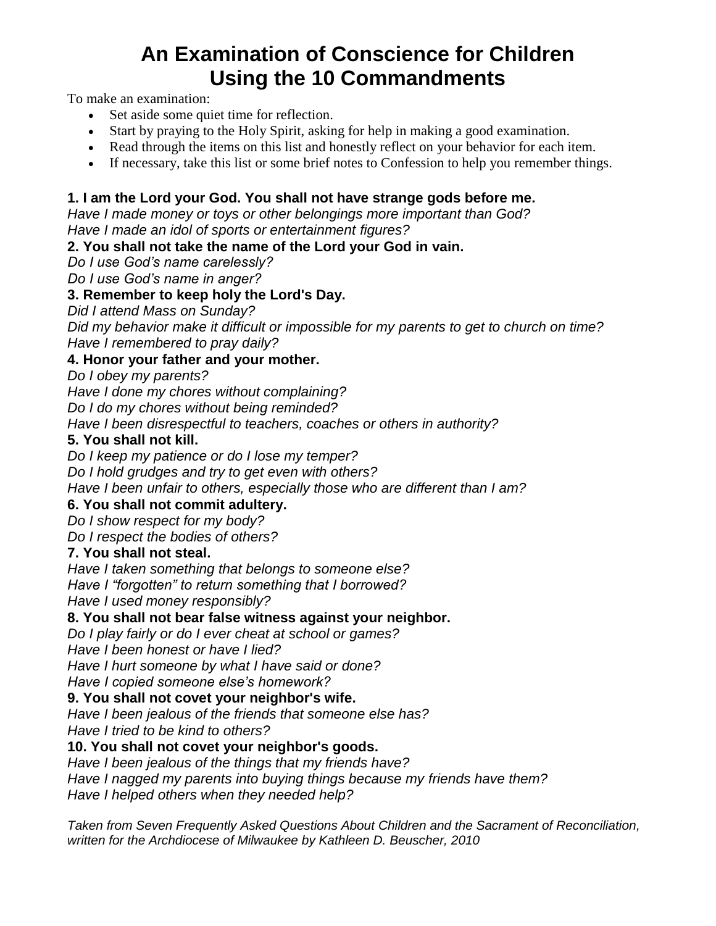# **An Examination of Conscience for Children Using the 10 Commandments**

To make an examination:

- Set aside some quiet time for reflection.
- Start by praying to the Holy Spirit, asking for help in making a good examination.
- Read through the items on this list and honestly reflect on your behavior for each item.
- If necessary, take this list or some brief notes to Confession to help you remember things.

## **1. I am the Lord your God. You shall not have strange gods before me.**

*Have I made money or toys or other belongings more important than God? Have I made an idol of sports or entertainment figures?*

## **2. You shall not take the name of the Lord your God in vain.**

*Do I use God's name carelessly?*

*Do I use God's name in anger?*

## **3. Remember to keep holy the Lord's Day.**

*Did I attend Mass on Sunday?*

*Did my behavior make it difficult or impossible for my parents to get to church on time? Have I remembered to pray daily?*

#### **4. Honor your father and your mother.**

*Do I obey my parents?*

*Have I done my chores without complaining?*

*Do I do my chores without being reminded?*

*Have I been disrespectful to teachers, coaches or others in authority?*

## **5. You shall not kill.**

*Do I keep my patience or do I lose my temper?*

*Do I hold grudges and try to get even with others?*

*Have I been unfair to others, especially those who are different than I am?*

## **6. You shall not commit adultery.**

*Do I show respect for my body?*

*Do I respect the bodies of others?*

## **7. You shall not steal.**

*Have I taken something that belongs to someone else?*

*Have I "forgotten" to return something that I borrowed?*

*Have I used money responsibly?*

## **8. You shall not bear false witness against your neighbor.**

*Do I play fairly or do I ever cheat at school or games?*

*Have I been honest or have I lied?*

*Have I hurt someone by what I have said or done?*

*Have I copied someone else's homework?*

## **9. You shall not covet your neighbor's wife.**

*Have I been jealous of the friends that someone else has?*

*Have I tried to be kind to others?*

#### **10. You shall not covet your neighbor's goods.**

*Have I been jealous of the things that my friends have?*

*Have I nagged my parents into buying things because my friends have them?*

*Have I helped others when they needed help?*

*Taken from Seven Frequently Asked Questions About Children and the Sacrament of Reconciliation, written for the Archdiocese of Milwaukee by Kathleen D. Beuscher, 2010*